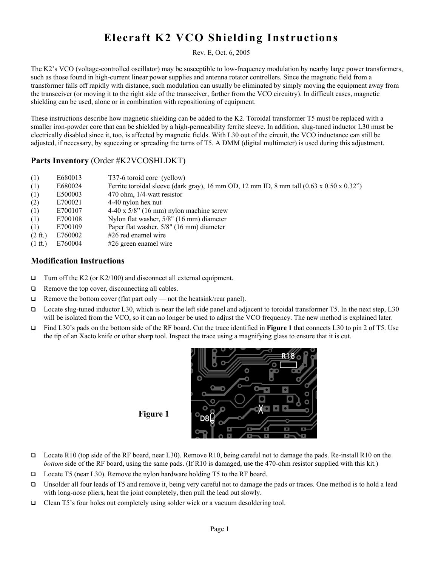## Elecraft K2 VCO Shielding Instructions

## Rev. E, Oct. 6, 2005

The K2's VCO (voltage-controlled oscillator) may be susceptible to low-frequency modulation by nearby large power transformers, such as those found in high-current linear power supplies and antenna rotator controllers. Since the magnetic field from a transformer falls off rapidly with distance, such modulation can usually be eliminated by simply moving the equipment away from the transceiver (or moving it to the right side of the transceiver, farther from the VCO circuitry). In difficult cases, magnetic shielding can be used, alone or in combination with repositioning of equipment.

These instructions describe how magnetic shielding can be added to the K2. Toroidal transformer T5 must be replaced with a smaller iron-powder core that can be shielded by a high-permeability ferrite sleeve. In addition, slug-tuned inductor L30 must be electrically disabled since it, too, is affected by magnetic fields. With L30 out of the circuit, the VCO inductance can still be adjusted, if necessary, by squeezing or spreading the turns of T5. A DMM (digital multimeter) is used during this adjustment.

## Parts Inventory (Order #K2VCOSHLDKT)

| (1)               | E680013 | T37-6 toroid core (yellow)                                                                                  |
|-------------------|---------|-------------------------------------------------------------------------------------------------------------|
| (1)               | E680024 | Ferrite toroidal sleeve (dark gray), 16 mm OD, 12 mm ID, 8 mm tall $(0.63 \times 0.50 \times 0.32^{\circ})$ |
| (1)               | E500003 | $470$ ohm, $1/4$ -watt resistor                                                                             |
| (2)               | E700021 | 4-40 nylon hex nut                                                                                          |
| (1)               | E700107 | $4-40 \times 5/8$ " (16 mm) nylon machine screw                                                             |
| (1)               | E700108 | Nylon flat washer, 5/8" (16 mm) diameter                                                                    |
| (1)               | E700109 | Paper flat washer, 5/8" (16 mm) diameter                                                                    |
| $(2 \text{ ft.})$ | E760002 | $#26$ red enamel wire                                                                                       |
| $(1 \text{ ft.})$ | E760004 | $#26$ green enamel wire                                                                                     |

## Modification Instructions

- $\Box$  Turn off the K2 (or K2/100) and disconnect all external equipment.
- $\Box$  Remove the top cover, disconnecting all cables.
- $\Box$  Remove the bottom cover (flat part only not the heatsink/rear panel).
- Locate slug-tuned inductor L30, which is near the left side panel and adjacent to toroidal transformer T5. In the next step, L30 will be isolated from the VCO, so it can no longer be used to adjust the VCO frequency. The new method is explained later.
- Find L30's pads on the bottom side of the RF board. Cut the trace identified in Figure 1 that connects L30 to pin 2 of T5. Use the tip of an Xacto knife or other sharp tool. Inspect the trace using a magnifying glass to ensure that it is cut.



- Locate R10 (top side of the RF board, near L30). Remove R10, being careful not to damage the pads. Re-install R10 on the *bottom* side of the RF board, using the same pads. (If R10 is damaged, use the 470-ohm resistor supplied with this kit.)
- Locate T5 (near L30). Remove the nylon hardware holding T5 to the RF board.
- Unsolder all four leads of T5 and remove it, being very careful not to damage the pads or traces. One method is to hold a lead with long-nose pliers, heat the joint completely, then pull the lead out slowly.
- $\Box$  Clean T5's four holes out completely using solder wick or a vacuum desoldering tool.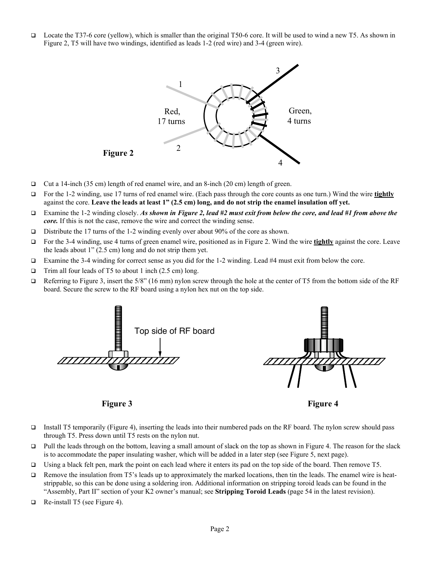Locate the T37-6 core (yellow), which is smaller than the original T50-6 core. It will be used to wind a new T5. As shown in Figure 2, T5 will have two windings, identified as leads 1-2 (red wire) and 3-4 (green wire).



- $\Box$  Cut a 14-inch (35 cm) length of red enamel wire, and an 8-inch (20 cm) length of green.
- For the 1-2 winding, use 17 turns of red enamel wire. (Each pass through the core counts as one turn.) Wind the wire tightly against the core. Leave the leads at least 1" (2.5 cm) long, and do not strip the enamel insulation off yet.
- Examine the 1-2 winding closely. *As shown in Figure 2, lead #2 must exit from below the core, and lead #1 from above the core.* If this is not the case, remove the wire and correct the winding sense.
- Distribute the 17 turns of the 1-2 winding evenly over about 90% of the core as shown.
- For the 3-4 winding, use 4 turns of green enamel wire, positioned as in Figure 2. Wind the wire **tightly** against the core. Leave the leads about 1" (2.5 cm) long and do not strip them yet.
- Examine the 3-4 winding for correct sense as you did for the 1-2 winding. Lead #4 must exit from below the core.
- $\Box$  Trim all four leads of T5 to about 1 inch (2.5 cm) long.
- Referring to Figure 3, insert the 5/8" (16 mm) nylon screw through the hole at the center of T5 from the bottom side of the RF board. Secure the screw to the RF board using a nylon hex nut on the top side.



Figure 3 Figure 4

- Install T5 temporarily (Figure 4), inserting the leads into their numbered pads on the RF board. The nylon screw should pass through T5. Press down until T5 rests on the nylon nut.
- $\Box$  Pull the leads through on the bottom, leaving a small amount of slack on the top as shown in Figure 4. The reason for the slack is to accommodate the paper insulating washer, which will be added in a later step (see Figure 5, next page).
- Using a black felt pen, mark the point on each lead where it enters its pad on the top side of the board. Then remove T5.
- Remove the insulation from T5's leads up to approximately the marked locations, then tin the leads. The enamel wire is heatstrippable, so this can be done using a soldering iron. Additional information on stripping toroid leads can be found in the "Assembly, Part II" section of your K2 owner's manual; see Stripping Toroid Leads (page 54 in the latest revision).
- Re-install T5 (see Figure 4).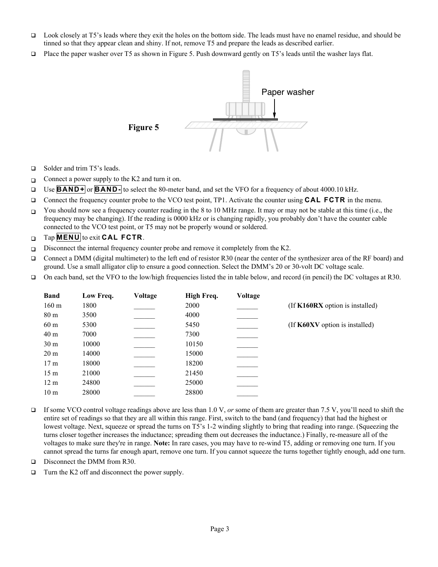- Look closely at T5's leads where they exit the holes on the bottom side. The leads must have no enamel residue, and should be tinned so that they appear clean and shiny. If not, remove T5 and prepare the leads as described earlier.
- Place the paper washer over T5 as shown in Figure 5. Push downward gently on T5's leads until the washer lays flat.



- □ Solder and trim T5's leads.
- Connect a power supply to the K2 and turn it on.
- Use **BAND+** or **BAND-** to select the 80-meter band, and set the VFO for a frequency of about 4000.10 kHz.
- Connect the frequency counter probe to the VCO test point, TP1. Activate the counter using **CAL FCTR** in the menu.
- You should now see a frequency counter reading in the 8 to 10 MHz range. It may or may not be stable at this time (i.e., the frequency may be changing). If the reading is 0000 kHz or is changing rapidly, you probably don't have the counter cable connected to the VCO test point, or T5 may not be properly wound or soldered.
- Tap **MENU** to exit **CAL FCTR**.
- Disconnect the internal frequency counter probe and remove it completely from the K2.
- Connect a DMM (digital multimeter) to the left end of resistor R30 (near the center of the synthesizer area of the RF board) and ground. Use a small alligator clip to ensure a good connection. Select the DMM's 20 or 30-volt DC voltage scale.
- On each band, set the VFO to the low/high frequencies listed the in table below, and record (in pencil) the DC voltages at R30.

| Low Freq. | Voltage | High Freq. | Voltage |                                 |
|-----------|---------|------------|---------|---------------------------------|
| 1800      |         | 2000       |         | (If K160RX option is installed) |
| 3500      |         | 4000       |         |                                 |
| 5300      |         | 5450       |         | (If K60XV option is installed)  |
| 7000      |         | 7300       |         |                                 |
| 10000     |         | 10150      |         |                                 |
| 14000     |         | 15000      |         |                                 |
| 18000     |         | 18200      |         |                                 |
| 21000     |         | 21450      |         |                                 |
| 24800     |         | 25000      |         |                                 |
| 28000     |         | 28800      |         |                                 |
|           |         |            |         |                                 |

- If some VCO control voltage readings above are less than 1.0 V, *or* some of them are greater than 7.5 V, you'll need to shift the entire set of readings so that they are all within this range. First, switch to the band (and frequency) that had the highest or lowest voltage. Next, squeeze or spread the turns on T5's 1-2 winding slightly to bring that reading into range. (Squeezing the turns closer together increases the inductance; spreading them out decreases the inductance.) Finally, re-measure all of the voltages to make sure they're in range. Note: In rare cases, you may have to re-wind T5, adding or removing one turn. If you cannot spread the turns far enough apart, remove one turn. If you cannot squeeze the turns together tightly enough, add one turn.
- Disconnect the DMM from R30.
- □ Turn the K2 off and disconnect the power supply.